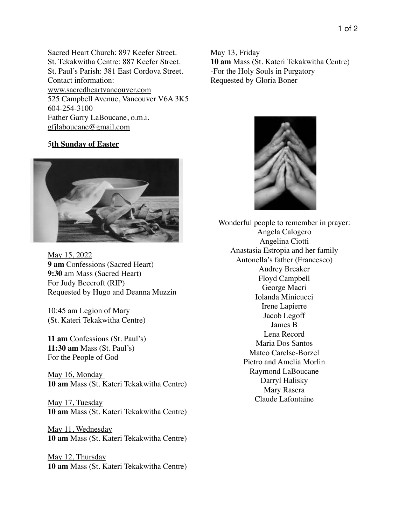Sacred Heart Church: 897 Keefer Street. St. Tekakwitha Centre: 887 Keefer Street. St. Paul's Parish: 381 East Cordova Street. Contact information: www.sacredheartvancouver.com 525 Campbell Avenue, Vancouver V6A 3K5 604-254-3100 Father Garry LaBoucane, o.m.i. [gfjlaboucane@gmail.com](mailto:gfjlaboucane@gmail.com)

## 5**th Sunday of Easter**



May 15, 2022 **9 am** Confessions (Sacred Heart) **9:30** am Mass (Sacred Heart) For Judy Beecroft (RIP) Requested by Hugo and Deanna Muzzin

10:45 am Legion of Mary (St. Kateri Tekakwitha Centre)

**11 am** Confessions (St. Paul's) **11:30 am** Mass (St. Paul's) For the People of God

May 16, Monday **10 am** Mass (St. Kateri Tekakwitha Centre)

May 17, Tuesday **10 am** Mass (St. Kateri Tekakwitha Centre)

May 11, Wednesday **10 am** Mass (St. Kateri Tekakwitha Centre)

May 12, Thursday **10 am** Mass (St. Kateri Tekakwitha Centre)

May 13, Friday **10 am** Mass (St. Kateri Tekakwitha Centre) -For the Holy Souls in Purgatory Requested by Gloria Boner



Wonderful people to remember in prayer: Angela Calogero Angelina Ciotti Anastasia Estropia and her family Antonella's father (Francesco) Audrey Breaker Floyd Campbell George Macri Iolanda Minicucci Irene Lapierre Jacob Legoff James B Lena Record Maria Dos Santos Mateo Carelse-Borzel Pietro and Amelia Morlin Raymond LaBoucane Darryl Halisky Mary Rasera Claude Lafontaine